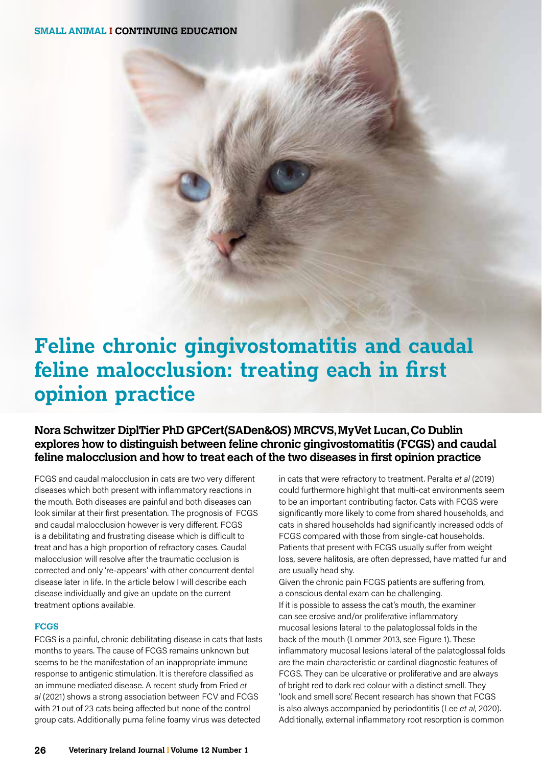**SMALL ANIMAL I CONTINUING EDUCATION**

# **Feline chronic gingivostomatitis and caudal feline malocclusion: treating each in first opinion practice**

**Nora Schwitzer DiplTier PhD GPCert(SADen&OS) MRCVS, MyVet Lucan, Co Dublin explores how to distinguish between feline chronic gingivostomatitis (FCGS) and caudal feline malocclusion and how to treat each of the two diseases in first opinion practice**

FCGS and caudal malocclusion in cats are two very different diseases which both present with inflammatory reactions in the mouth. Both diseases are painful and both diseases can look similar at their first presentation. The prognosis of FCGS and caudal malocclusion however is very different. FCGS is a debilitating and frustrating disease which is difficult to treat and has a high proportion of refractory cases. Caudal malocclusion will resolve after the traumatic occlusion is corrected and only 're-appears' with other concurrent dental disease later in life. In the article below I will describe each disease individually and give an update on the current treatment options available.

#### **FCGS**

FCGS is a painful, chronic debilitating disease in cats that lasts months to years. The cause of FCGS remains unknown but seems to be the manifestation of an inappropriate immune response to antigenic stimulation. It is therefore classified as an immune mediated disease. A recent study from Fried *et al* (2021) shows a strong association between FCV and FCGS with 21 out of 23 cats being affected but none of the control group cats. Additionally puma feline foamy virus was detected

in cats that were refractory to treatment. Peralta *et al* (2019) could furthermore highlight that multi-cat environments seem to be an important contributing factor. Cats with FCGS were significantly more likely to come from shared households, and cats in shared households had significantly increased odds of FCGS compared with those from single-cat households. Patients that present with FCGS usually suffer from weight loss, severe halitosis, are often depressed, have matted fur and are usually head shy.

Given the chronic pain FCGS patients are suffering from, a conscious dental exam can be challenging. If it is possible to assess the cat's mouth, the examiner can see erosive and/or proliferative inflammatory mucosal lesions lateral to the palatoglossal folds in the back of the mouth (Lommer 2013, see Figure 1). These inflammatory mucosal lesions lateral of the palatoglossal folds are the main characteristic or cardinal diagnostic features of FCGS. They can be ulcerative or proliferative and are always of bright red to dark red colour with a distinct smell. They 'look and smell sore'. Recent research has shown that FCGS is also always accompanied by periodontitis (Lee *et al*, 2020). Additionally, external inflammatory root resorption is common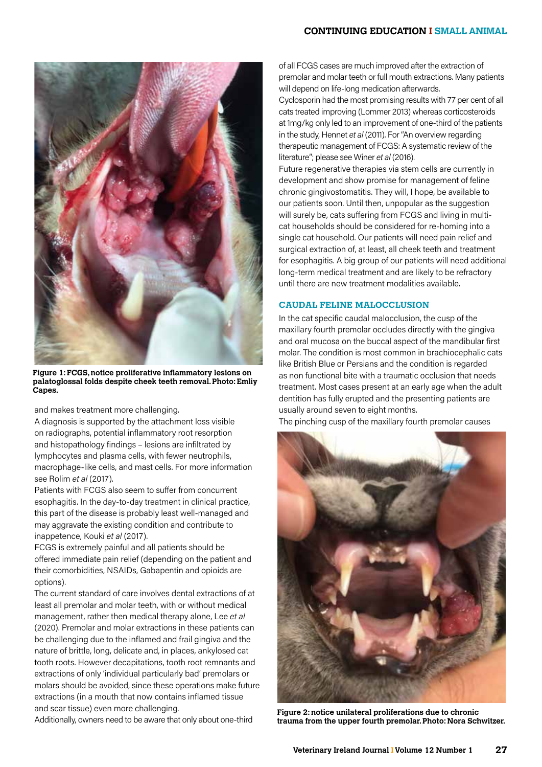# **CONTINUING EDUCATION I SMALL ANIMAL**



**Figure 1: FCGS, notice proliferative inflammatory lesions on palatoglossal folds despite cheek teeth removal. Photo: Emliy Capes.**

and makes treatment more challenging.

A diagnosis is supported by the attachment loss visible on radiographs, potential inflammatory root resorption and histopathology findings – lesions are infiltrated by lymphocytes and plasma cells, with fewer neutrophils, macrophage-like cells, and mast cells. For more information see Rolim *et al* (2017).

Patients with FCGS also seem to suffer from concurrent esophagitis. In the day-to-day treatment in clinical practice, this part of the disease is probably least well-managed and may aggravate the existing condition and contribute to inappetence, Kouki *et al* (2017).

FCGS is extremely painful and all patients should be offered immediate pain relief (depending on the patient and their comorbidities, NSAIDs, Gabapentin and opioids are options).

The current standard of care involves dental extractions of at least all premolar and molar teeth, with or without medical management, rather then medical therapy alone, Lee *et al* (2020). Premolar and molar extractions in these patients can be challenging due to the inflamed and frail gingiva and the nature of brittle, long, delicate and, in places, ankylosed cat tooth roots. However decapitations, tooth root remnants and extractions of only 'individual particularly bad' premolars or molars should be avoided, since these operations make future extractions (in a mouth that now contains inflamed tissue and scar tissue) even more challenging.

Additionally, owners need to be aware that only about one-third

of all FCGS cases are much improved after the extraction of premolar and molar teeth or full mouth extractions. Many patients will depend on life-long medication afterwards.

Cyclosporin had the most promising results with 77 per cent of all cats treated improving (Lommer 2013) whereas corticosteroids at 1mg/kg only led to an improvement of one-third of the patients in the study, Hennet *et al* (2011). For "An overview regarding therapeutic management of FCGS: A systematic review of the literature"; please see Winer *et al* (2016).

Future regenerative therapies via stem cells are currently in development and show promise for management of feline chronic gingivostomatitis. They will, I hope, be available to our patients soon. Until then, unpopular as the suggestion will surely be, cats suffering from FCGS and living in multicat households should be considered for re-homing into a single cat household. Our patients will need pain relief and surgical extraction of, at least, all cheek teeth and treatment for esophagitis. A big group of our patients will need additional long-term medical treatment and are likely to be refractory until there are new treatment modalities available.

### **CAUDAL FELINE MALOCCLUSION**

In the cat specific caudal malocclusion, the cusp of the maxillary fourth premolar occludes directly with the gingiva and oral mucosa on the buccal aspect of the mandibular first molar. The condition is most common in brachiocephalic cats like British Blue or Persians and the condition is regarded as non functional bite with a traumatic occlusion that needs treatment. Most cases present at an early age when the adult dentition has fully erupted and the presenting patients are usually around seven to eight months.

The pinching cusp of the maxillary fourth premolar causes



**Figure 2: notice unilateral proliferations due to chronic trauma from the upper fourth premolar. Photo: Nora Schwitzer.**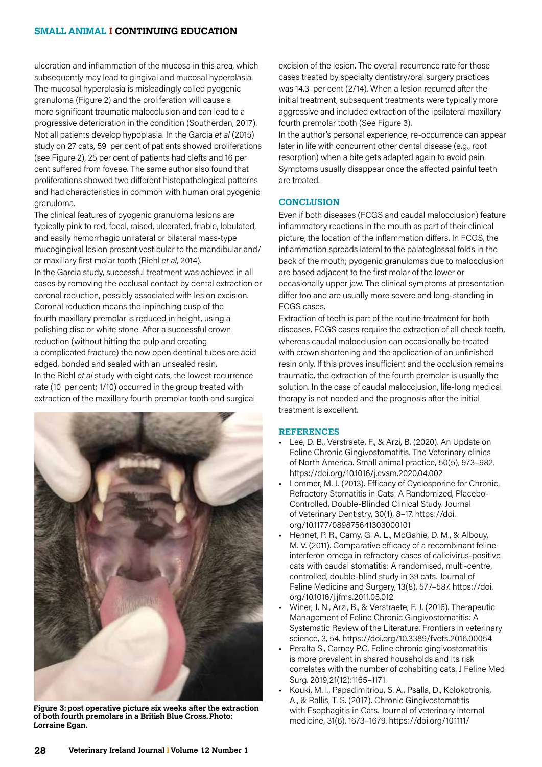# **SMALL ANIMAL I CONTINUING EDUCATION**

ulceration and inflammation of the mucosa in this area, which subsequently may lead to gingival and mucosal hyperplasia. The mucosal hyperplasia is misleadingly called pyogenic granuloma (Figure 2) and the proliferation will cause a more significant traumatic malocclusion and can lead to a progressive deterioration in the condition (Southerden, 2017). Not all patients develop hypoplasia. In the Garcia *et al* (2015) study on 27 cats, 59 per cent of patients showed proliferations (see Figure 2), 25 per cent of patients had clefts and 16 per cent suffered from foveae. The same author also found that proliferations showed two different histopathological patterns and had characteristics in common with human oral pyogenic granuloma.

The clinical features of pyogenic granuloma lesions are typically pink to red, focal, raised, ulcerated, friable, lobulated, and easily hemorrhagic unilateral or bilateral mass-type mucogingival lesion present vestibular to the mandibular and/ or maxillary first molar tooth (Riehl *et al*, 2014).

In the Garcia study, successful treatment was achieved in all cases by removing the occlusal contact by dental extraction or coronal reduction, possibly associated with lesion excision. Coronal reduction means the inpinching cusp of the fourth maxillary premolar is reduced in height, using a polishing disc or white stone. After a successful crown reduction (without hitting the pulp and creating a complicated fracture) the now open dentinal tubes are acid edged, bonded and sealed with an unsealed resin. In the Riehl *et al* study with eight cats, the lowest recurrence rate (10 per cent; 1/10) occurred in the group treated with extraction of the maxillary fourth premolar tooth and surgical

![](_page_2_Picture_4.jpeg)

**Figure 3: post operative picture six weeks after the extraction of both fourth premolars in a British Blue Cross. Photo: Lorraine Egan.**

excision of the lesion. The overall recurrence rate for those cases treated by specialty dentistry/oral surgery practices was 14.3 per cent (2/14). When a lesion recurred after the initial treatment, subsequent treatments were typically more aggressive and included extraction of the ipsilateral maxillary fourth premolar tooth (See Figure 3).

In the author's personal experience, re-occurrence can appear later in life with concurrent other dental disease (e.g., root resorption) when a bite gets adapted again to avoid pain. Symptoms usually disappear once the affected painful teeth are treated.

### **CONCLUSION**

Even if both diseases (FCGS and caudal malocclusion) feature inflammatory reactions in the mouth as part of their clinical picture, the location of the inflammation differs. In FCGS, the inflammation spreads lateral to the palatoglossal folds in the back of the mouth; pyogenic granulomas due to malocclusion are based adjacent to the first molar of the lower or occasionally upper jaw. The clinical symptoms at presentation differ too and are usually more severe and long-standing in FCGS cases.

Extraction of teeth is part of the routine treatment for both diseases. FCGS cases require the extraction of all cheek teeth, whereas caudal malocclusion can occasionally be treated with crown shortening and the application of an unfinished resin only. If this proves insufficient and the occlusion remains traumatic, the extraction of the fourth premolar is usually the solution. In the case of caudal malocclusion, life-long medical therapy is not needed and the prognosis after the initial treatment is excellent.

#### **REFERENCES**

- Lee, D. B., Verstraete, F., & Arzi, B. (2020). An Update on Feline Chronic Gingivostomatitis. The Veterinary clinics of North America. Small animal practice, 50(5), 973–982. https://doi.org/10.1016/j.cvsm.2020.04.002
- Lommer, M. J. (2013). Efficacy of Cyclosporine for Chronic, Refractory Stomatitis in Cats: A Randomized, Placebo-Controlled, Double-Blinded Clinical Study. Journal of Veterinary Dentistry, 30(1), 8–17. https://doi. org/10.1177/089875641303000101
- Hennet, P. R., Camy, G. A. L., McGahie, D. M., & Albouy, M. V. (2011). Comparative efficacy of a recombinant feline interferon omega in refractory cases of calicivirus-positive cats with caudal stomatitis: A randomised, multi-centre, controlled, double-blind study in 39 cats. Journal of Feline Medicine and Surgery, 13(8), 577–587. https://doi. org/10.1016/j.jfms.2011.05.012
- Winer, J. N., Arzi, B., & Verstraete, F. J. (2016). Therapeutic Management of Feline Chronic Gingivostomatitis: A Systematic Review of the Literature. Frontiers in veterinary science, 3, 54. https://doi.org/10.3389/fvets.2016.00054
- Peralta S., Carney P.C. Feline chronic gingivostomatitis is more prevalent in shared households and its risk correlates with the number of cohabiting cats. J Feline Med Surg. 2019;21(12):1165–1171.
- Kouki, M. I., Papadimitriou, S. A., Psalla, D., Kolokotronis, A., & Rallis, T. S. (2017). Chronic Gingivostomatitis with Esophagitis in Cats. Journal of veterinary internal medicine, 31(6), 1673–1679. https://doi.org/10.1111/